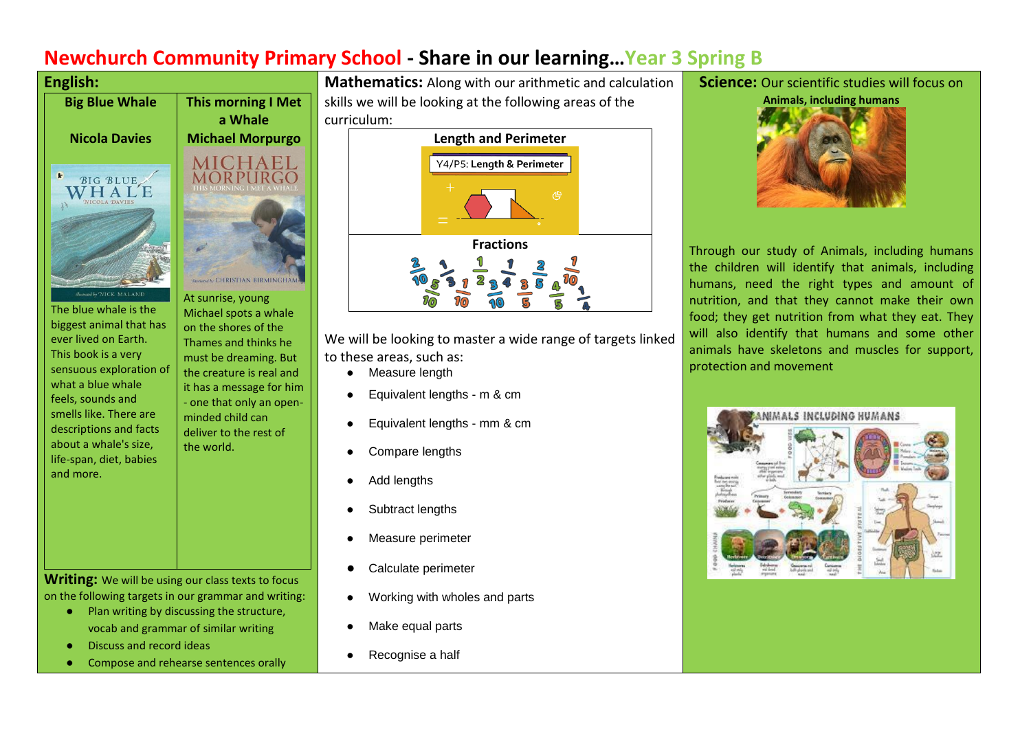# **Newchurch Community Primary School - Share in our learning…Year 3 Spring B**



The blue whale is the biggest animal that has ever lived on Earth. This book is a very sensuous exploration of what a blue whale feels, sounds and smells like. There are descriptions and facts about a whale's size, life-span, diet, babies and more.

At sunrise, young Michael spots a whale on the shores of the Thames and thinks he must be dreaming. But the creature is real and it has a message for him - one that only an openminded child can deliver to the rest of the world.

**Writing:** We will be using our class texts to focus on the following targets in our grammar and writing:

- Plan writing by discussing the structure, vocab and grammar of similar writing
- Discuss and record ideas
- Compose and rehearse sentences orally

**Mathematics:** Along with our arithmetic and calculation skills we will be looking at the following areas of the curriculum:



We will be looking to master a wide range of targets linked to these areas, such as:

- Measure length
- Equivalent lengths m & cm
- Equivalent lengths mm & cm
- Compare lengths
- Add lengths
- Subtract lengths
- Measure perimeter
- Calculate perimeter
- Working with wholes and parts
- Make equal parts
- Recognise a half

# **Science:** Our scientific studies will focus on



Through our study of Animals, including humans the children will identify that animals, including humans, need the right types and amount of nutrition, and that they cannot make their own food; they get nutrition from what they eat. They will also identify that humans and some other animals have skeletons and muscles for support, protection and movement

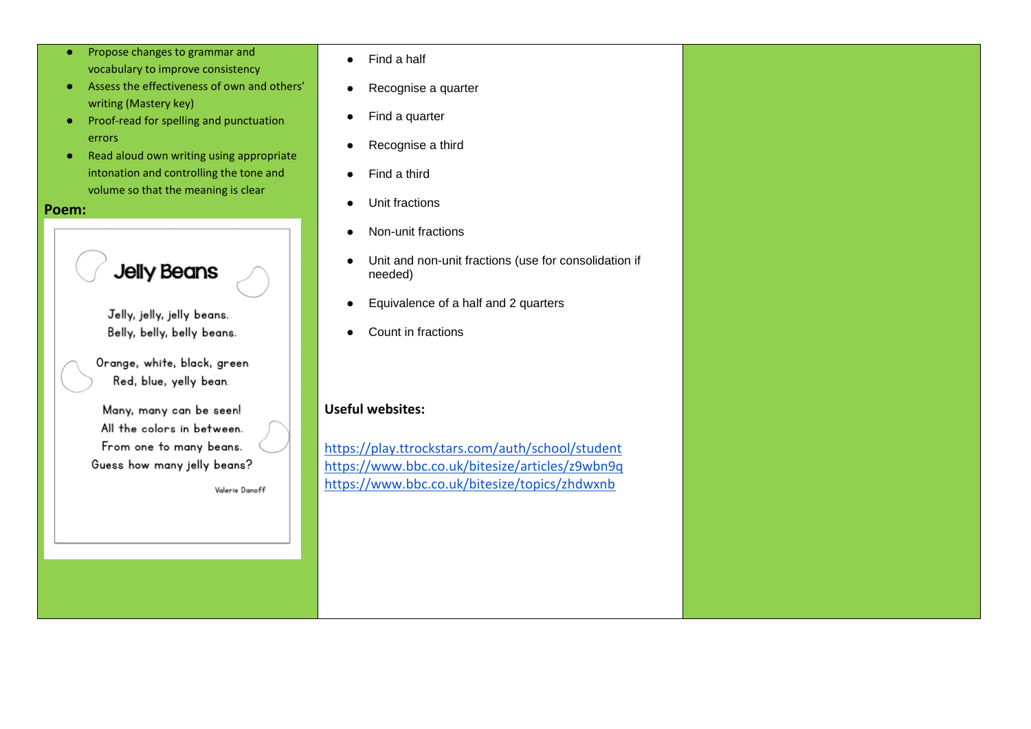- Propose changes to grammar and vocabulary to improve consistency
- Assess the effectiveness of own and others' writing (Mastery key)
- Proof-read for spelling and punctuation errors
- Read aloud own writing using appropriate intonation and controlling the tone and volume so that the meaning is clear

#### **Poem:**

**Jelly Beans** 

Jelly, jelly, jelly beans. Belly, belly, belly beans.

Orange, white, black, green Red, blue, yelly bean.

Many, many can be seen! All the colors in between. From one to many beans. Guess how many jelly beans?

Valerie Danoff

- Find a half
- Recognise a quarter
- Find a quarter
- Recognise a third
- Find a third
- Unit fractions
- Non-unit fractions
- Unit and non-unit fractions (use for consolidation if needed)
- Equivalence of a half and 2 quarters
- Count in fractions

# **Useful websites:**

<https://play.ttrockstars.com/auth/school/student> <https://www.bbc.co.uk/bitesize/articles/z9wbn9q> <https://www.bbc.co.uk/bitesize/topics/zhdwxnb>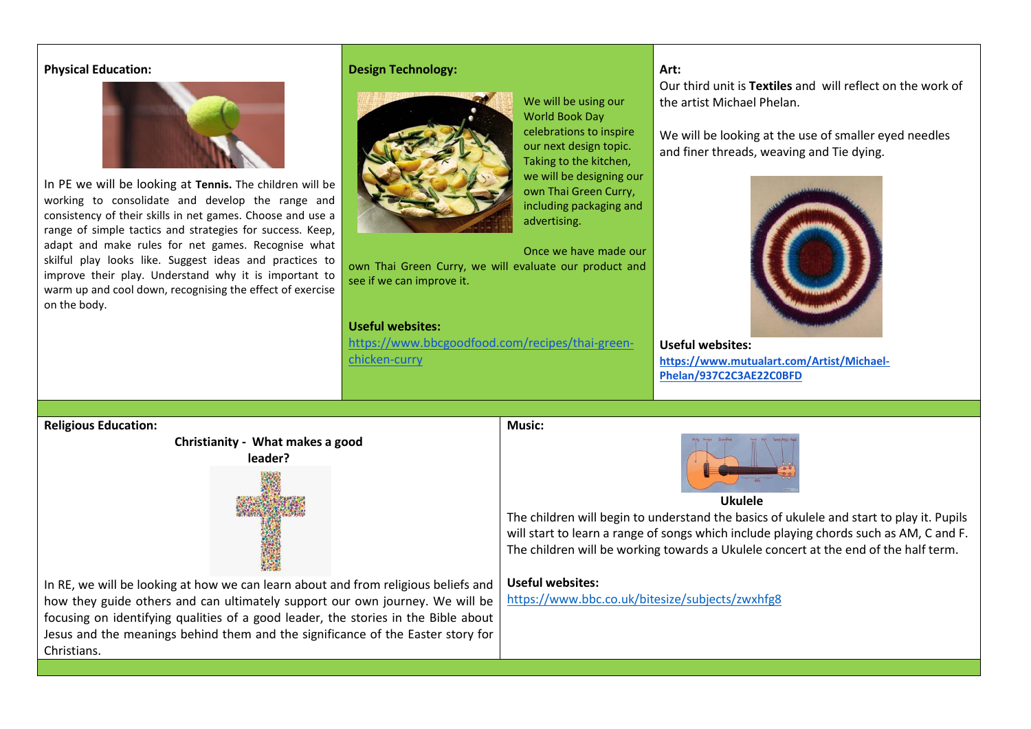#### **Physical Education:**



In PE we will be looking at **Tennis.** The children will be working to consolidate and develop the range and consistency of their skills in net games. Choose and use a range of simple tactics and strategies for success. Keep, adapt and make rules for net games. Recognise what skilful play looks like. Suggest ideas and practices to improve their play. Understand why it is important to warm up and cool down, recognising the effect of exercise on the body.

### **Design Technology:**



We will be using our World Book Day celebrations to inspire our next design topic. Taking to the kitchen, we will be designing our own Thai Green Curry, including packaging and advertising.

#### Once we have made our own Thai Green Curry, we will evaluate our product and see if we can improve it.

## **Useful websites:**

[https://www.bbcgoodfood.com/recipes/thai-green](https://www.bbcgoodfood.com/recipes/thai-green-chicken-curry)[chicken-curry](https://www.bbcgoodfood.com/recipes/thai-green-chicken-curry)

## **Art:**

Our third unit is **Textiles** and will reflect on the work of the artist Michael Phelan.

We will be looking at the use of smaller eyed needles and finer threads, weaving and Tie dying.



**Useful websites: [https://www.mutualart.com/Artist/Michael-](https://www.mutualart.com/Artist/Michael-Phelan/937C2C3AE22C0BFD)[Phelan/937C2C3AE22C0BFD](https://www.mutualart.com/Artist/Michael-Phelan/937C2C3AE22C0BFD)**

#### **Religious Education:**



**Music:**



The children will begin to understand the basics of ukulele and start to play it. Pupils will start to learn a range of songs which include playing chords such as AM, C and F. The children will be working towards a Ukulele concert at the end of the half term.

### **Useful websites:**

<https://www.bbc.co.uk/bitesize/subjects/zwxhfg8>

In RE, we will be looking at how we can learn about and from religious beliefs and how they guide others and can ultimately support our own journey. We will be focusing on identifying qualities of a good leader, the stories in the Bible about Jesus and the meanings behind them and the significance of the Easter story for **Christians**